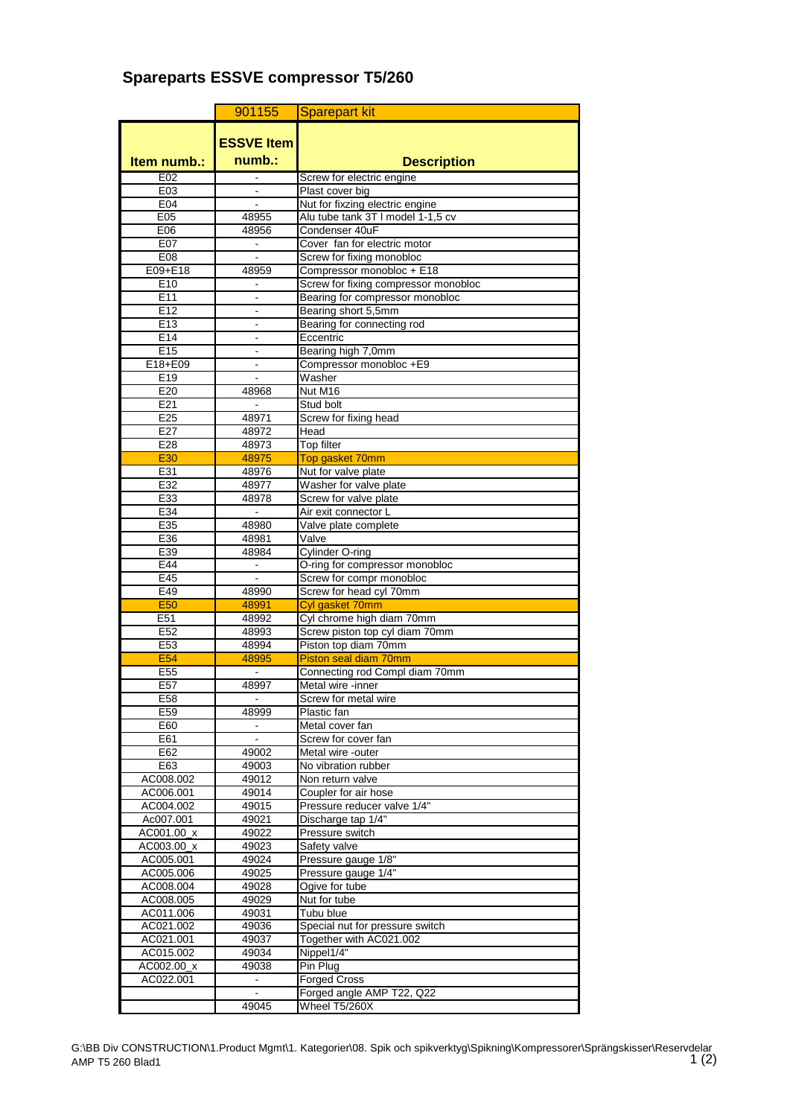## **Spareparts ESSVE compressor T5/260**

|                        | 901155                       | <b>Sparepart kit</b>                                        |
|------------------------|------------------------------|-------------------------------------------------------------|
|                        |                              |                                                             |
|                        | <b>ESSVE Item</b>            |                                                             |
| Item numb.:            | $numb.$ :                    | <b>Description</b>                                          |
| E02                    |                              | Screw for electric engine                                   |
| E03                    |                              | Plast cover big                                             |
| E04                    |                              | Nut for fixzing electric engine                             |
| E05<br>E06             | 48955<br>48956               | Alu tube tank 3T I model 1-1,5 cv<br>Condenser 40uF         |
| E07                    |                              | Cover fan for electric motor                                |
| E08                    |                              | Screw for fixing monobloc                                   |
| E09+E18                | 48959                        | Compressor monobloc + E18                                   |
| E <sub>10</sub>        |                              | Screw for fixing compressor monobloc                        |
| E11                    | ۰                            | Bearing for compressor monobloc                             |
| E12                    |                              | Bearing short 5,5mm                                         |
| E13                    |                              | Bearing for connecting rod                                  |
| E14<br>E15             | $\blacksquare$               | Eccentric<br>Bearing high 7,0mm                             |
| E18+E09                |                              | Compressor monobloc +E9                                     |
| E19                    | $\overline{a}$               | Washer                                                      |
| E20                    | 48968                        | Nut M16                                                     |
| E21                    |                              | Stud bolt                                                   |
| E25                    | 48971                        | Screw for fixing head                                       |
| E27                    | 48972                        | Head                                                        |
| E28                    | 48973                        | Top filter                                                  |
| E30                    | 48975                        | Top gasket 70mm                                             |
| E31                    | 48976                        | Nut for valve plate                                         |
| E32<br>E33             | 48977<br>48978               | Washer for valve plate<br>Screw for valve plate             |
| E34                    |                              | Air exit connector L                                        |
| E35                    | 48980                        | Valve plate complete                                        |
| E36                    | 48981                        | Valve                                                       |
| E39                    | 48984                        | <b>Cylinder O-ring</b>                                      |
| E44                    |                              | O-ring for compressor monobloc                              |
| E45                    |                              | Screw for compr monobloc                                    |
| E49                    | 48990                        | Screw for head cyl 70mm                                     |
| <b>E50</b>             | 48991                        | Cyl gasket 70mm                                             |
| E51<br>E <sub>52</sub> | 48992<br>48993               | Cyl chrome high diam 70mm<br>Screw piston top cyl diam 70mm |
| E53                    | 48994                        | Piston top diam 70mm                                        |
| <b>E54</b>             | 48995                        | Piston seal diam 70mm                                       |
| E55                    | ä,                           | Connecting rod Compl diam 70mm                              |
| E57                    | 48997                        | Metal wire -inner                                           |
| E58                    |                              | Screw for metal wire                                        |
| E59                    | 48999                        | Plastic fan                                                 |
| E60                    | $\qquad \qquad \blacksquare$ | Metal cover fan                                             |
| E61                    |                              | Screw for cover fan                                         |
| E62<br>E63             | 49002<br>49003               | Metal wire -outer<br>No vibration rubber                    |
| AC008.002              | 49012                        | Non return valve                                            |
| AC006.001              | 49014                        | Coupler for air hose                                        |
| AC004.002              | 49015                        | Pressure reducer valve 1/4"                                 |
| Ac007.001              | 49021                        | Discharge tap 1/4"                                          |
| AC001.00 x             | 49022                        | Pressure switch                                             |
| AC003.00_x             | 49023                        | Safety valve                                                |
| AC005.001              | 49024                        | Pressure gauge 1/8"                                         |
| AC005.006              | 49025                        | Pressure gauge 1/4"                                         |
| AC008.004              | 49028                        | Ogive for tube<br>Nut for tube                              |
| AC008.005<br>AC011.006 | 49029<br>49031               | Tubu blue                                                   |
| AC021.002              | 49036                        | Special nut for pressure switch                             |
| AC021.001              | 49037                        | Together with AC021.002                                     |
| AC015.002              | 49034                        | Nippel1/4"                                                  |
| AC002.00_x             | 49038                        | Pin Plug                                                    |
| AC022.001              | $\qquad \qquad \blacksquare$ | <b>Forged Cross</b>                                         |
|                        |                              | Forged angle AMP T22, Q22                                   |
|                        | 49045                        | Wheel T5/260X                                               |